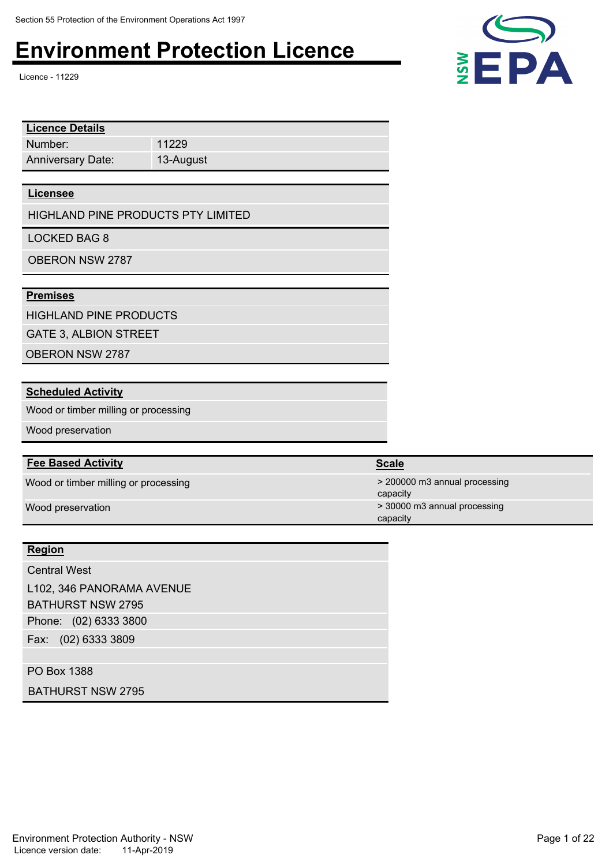Licence - 11229

| <b>Licence Details</b>   |           |
|--------------------------|-----------|
| Number:                  | 11229     |
| <b>Anniversary Date:</b> | 13-August |

#### **Licensee**

HIGHLAND PINE PRODUCTS PTY LIMITED

LOCKED BAG 8

OBERON NSW 2787

### **Premises**

HIGHLAND PINE PRODUCTS

GATE 3, ALBION STREET

OBERON NSW 2787

#### **Scheduled Activity**

Wood or timber milling or processing

Wood preservation

#### **Fee Based Activity**

Wood or timber milling or processing and the state of the state of the state of the state of the state of the state of the state of the state of the state of the state of the state of the state of the state of the state of

#### **Region**

Phone: (02) 6333 3800 Fax: (02) 6333 3809 Central West L102, 346 PANORAMA AVENUE BATHURST NSW 2795

PO Box 1388

BATHURST NSW 2795





capacity Wood preservation  $\sim$  30000 m3 annual processing capacity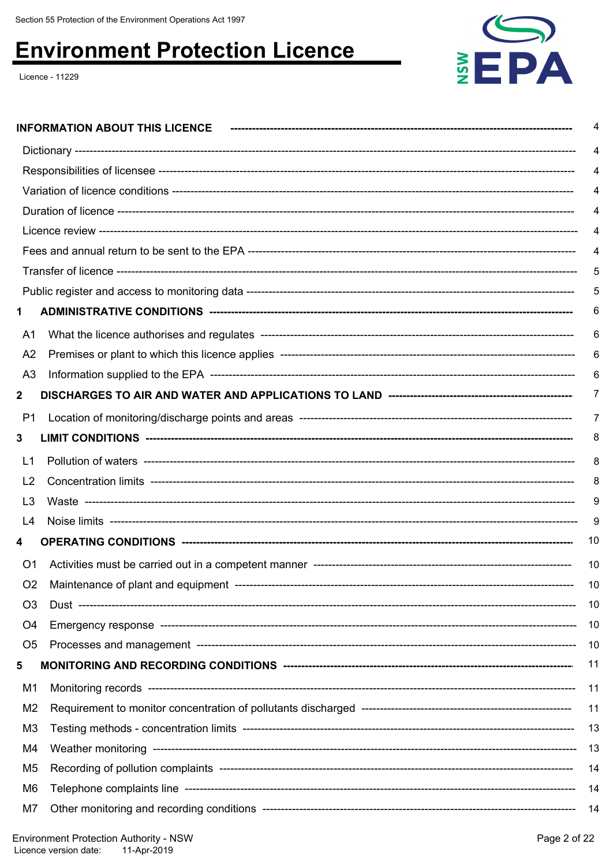Licence - 11229



|                | 4        |
|----------------|----------|
|                | 4        |
|                | 4        |
|                | 4        |
|                |          |
|                |          |
|                | 4        |
|                | 5        |
|                | 5        |
| 1              | 6        |
| A1             | 6        |
| A <sub>2</sub> | 6        |
| A <sub>3</sub> | 6        |
| $\mathbf{2}$   | $\prime$ |
| P1             | 7        |
| 3              | 8        |
| L1             | 8        |
| L <sub>2</sub> | 8        |
| L <sub>3</sub> | 9        |
| L4             | 9        |
| 4              | 10       |
| O1             | 10       |
| O <sub>2</sub> | 10       |
| O <sub>3</sub> | 10       |
| O <sub>4</sub> | -10      |
| O <sub>5</sub> | 10       |
| 5              | 11       |
| M1             | 11       |
| M <sub>2</sub> | 11       |
| M <sub>3</sub> | 13       |
| M4             | -13      |
| M <sub>5</sub> | 14       |
| M6             | 14       |
| M7             | -14      |
|                |          |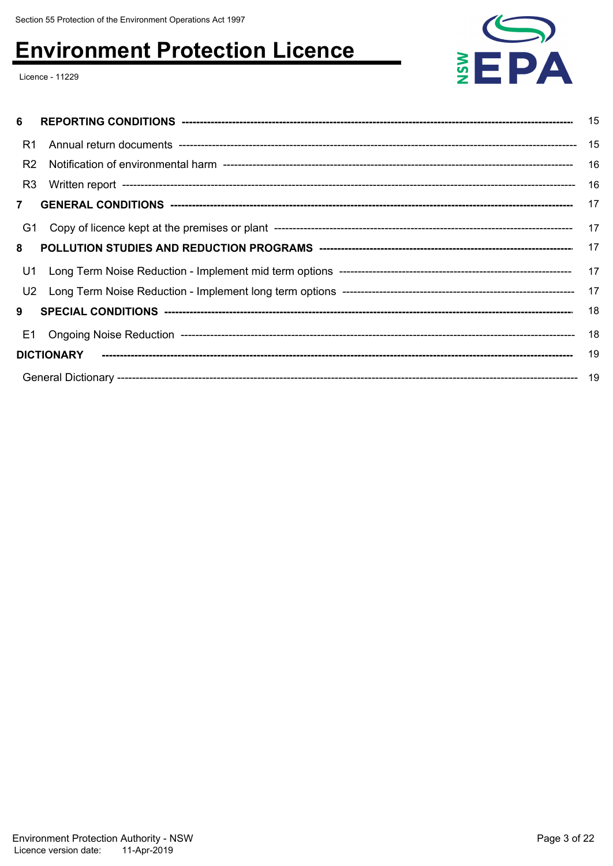Licence - 11229



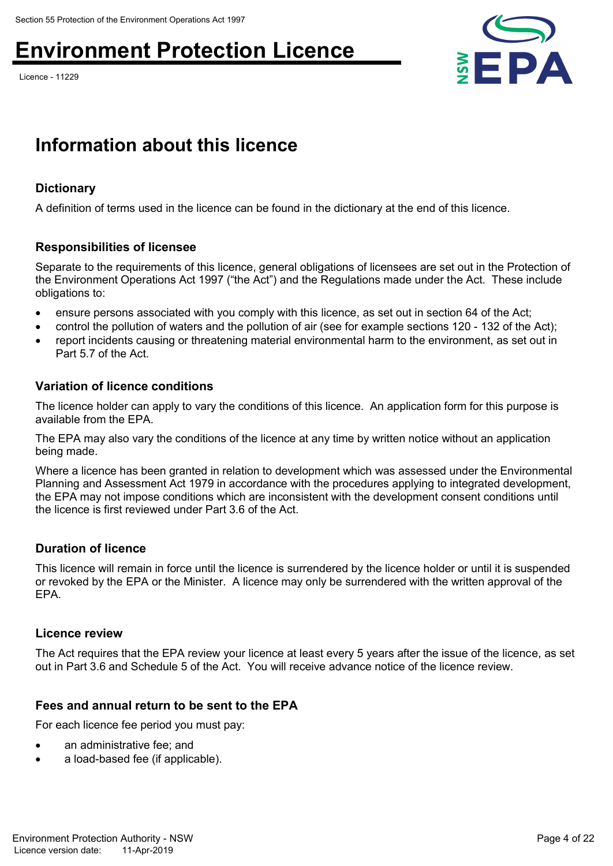Licence - 11229



# **Information about this licence**

## **Dictionary**

A definition of terms used in the licence can be found in the dictionary at the end of this licence.

## **Responsibilities of licensee**

Separate to the requirements of this licence, general obligations of licensees are set out in the Protection of the Environment Operations Act 1997 ("the Act") and the Regulations made under the Act. These include obligations to:

- ensure persons associated with you comply with this licence, as set out in section 64 of the Act;
- control the pollution of waters and the pollution of air (see for example sections 120 132 of the Act);
- report incidents causing or threatening material environmental harm to the environment, as set out in Part 5.7 of the Act.

## **Variation of licence conditions**

The licence holder can apply to vary the conditions of this licence. An application form for this purpose is available from the EPA.

The EPA may also vary the conditions of the licence at any time by written notice without an application being made.

Where a licence has been granted in relation to development which was assessed under the Environmental Planning and Assessment Act 1979 in accordance with the procedures applying to integrated development, the EPA may not impose conditions which are inconsistent with the development consent conditions until the licence is first reviewed under Part 3.6 of the Act.

## **Duration of licence**

This licence will remain in force until the licence is surrendered by the licence holder or until it is suspended or revoked by the EPA or the Minister. A licence may only be surrendered with the written approval of the EPA.

## **Licence review**

The Act requires that the EPA review your licence at least every 5 years after the issue of the licence, as set out in Part 3.6 and Schedule 5 of the Act. You will receive advance notice of the licence review.

## **Fees and annual return to be sent to the EPA**

For each licence fee period you must pay:

- an administrative fee; and
- a load-based fee (if applicable).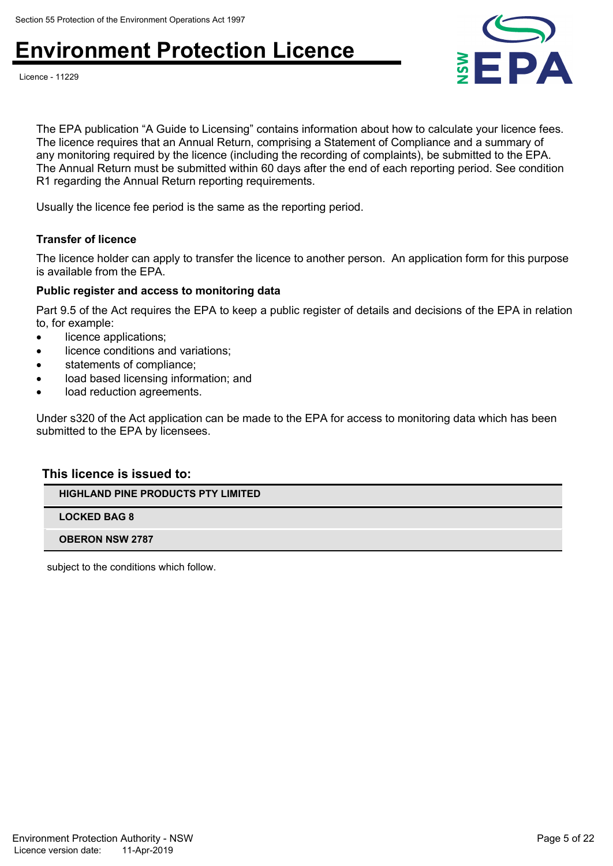



The EPA publication "A Guide to Licensing" contains information about how to calculate your licence fees. The licence requires that an Annual Return, comprising a Statement of Compliance and a summary of any monitoring required by the licence (including the recording of complaints), be submitted to the EPA. The Annual Return must be submitted within 60 days after the end of each reporting period. See condition R1 regarding the Annual Return reporting requirements.

Usually the licence fee period is the same as the reporting period.

#### **Transfer of licence**

The licence holder can apply to transfer the licence to another person. An application form for this purpose is available from the EPA.

#### **Public register and access to monitoring data**

Part 9.5 of the Act requires the EPA to keep a public register of details and decisions of the EPA in relation to, for example:

- licence applications;
- licence conditions and variations;
- statements of compliance;
- load based licensing information; and
- load reduction agreements.

Under s320 of the Act application can be made to the EPA for access to monitoring data which has been submitted to the EPA by licensees.

#### **This licence is issued to:**

**HIGHLAND PINE PRODUCTS PTY LIMITED**

**LOCKED BAG 8**

**OBERON NSW 2787**

subject to the conditions which follow.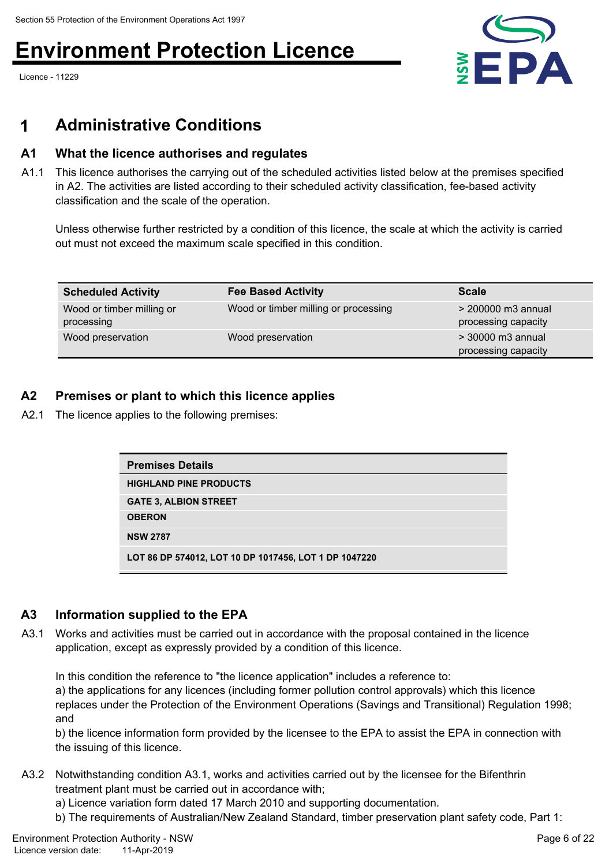Licence - 11229



# **1 Administrative Conditions**

## **A1 What the licence authorises and regulates**

A1.1 This licence authorises the carrying out of the scheduled activities listed below at the premises specified in A2. The activities are listed according to their scheduled activity classification, fee-based activity classification and the scale of the operation.

Unless otherwise further restricted by a condition of this licence, the scale at which the activity is carried out must not exceed the maximum scale specified in this condition.

| <b>Scheduled Activity</b>               | <b>Fee Based Activity</b>            | <b>Scale</b>                                |
|-----------------------------------------|--------------------------------------|---------------------------------------------|
| Wood or timber milling or<br>processing | Wood or timber milling or processing | $>$ 200000 m3 annual<br>processing capacity |
| Wood preservation                       | Wood preservation                    | > 30000 m3 annual<br>processing capacity    |

## **A2 Premises or plant to which this licence applies**

A2.1 The licence applies to the following premises:

| <b>Premises Details</b>                               |
|-------------------------------------------------------|
| <b>HIGHLAND PINE PRODUCTS</b>                         |
| <b>GATE 3, ALBION STREET</b>                          |
| <b>OBERON</b>                                         |
| <b>NSW 2787</b>                                       |
| LOT 86 DP 574012, LOT 10 DP 1017456, LOT 1 DP 1047220 |

## **A3 Information supplied to the EPA**

A3.1 Works and activities must be carried out in accordance with the proposal contained in the licence application, except as expressly provided by a condition of this licence.

In this condition the reference to "the licence application" includes a reference to: a) the applications for any licences (including former pollution control approvals) which this licence replaces under the Protection of the Environment Operations (Savings and Transitional) Regulation 1998; and

b) the licence information form provided by the licensee to the EPA to assist the EPA in connection with the issuing of this licence.

- A3.2 Notwithstanding condition A3.1, works and activities carried out by the licensee for the Bifenthrin treatment plant must be carried out in accordance with;
	- a) Licence variation form dated 17 March 2010 and supporting documentation.
	- b) The requirements of Australian/New Zealand Standard, timber preservation plant safety code, Part 1: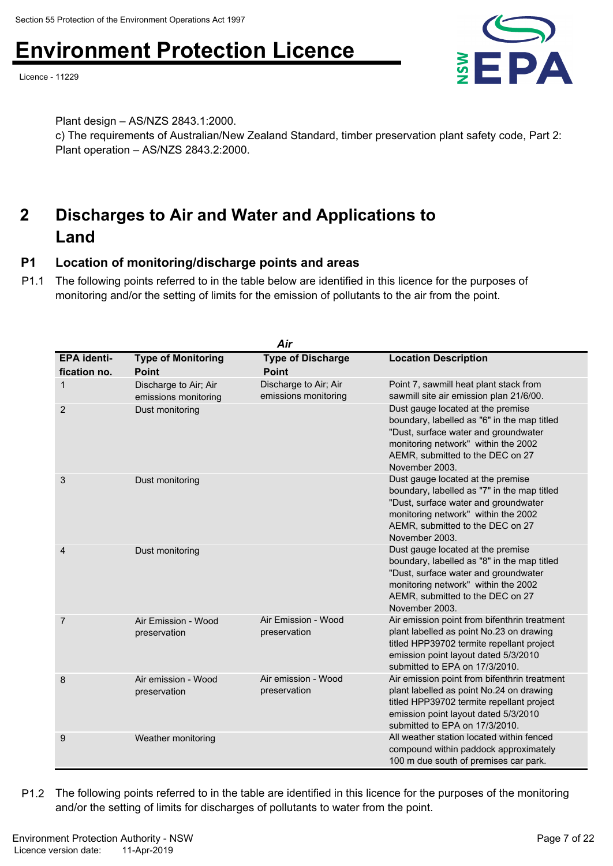Licence - 11229



Plant design – AS/NZS 2843.1:2000.

c) The requirements of Australian/New Zealand Standard, timber preservation plant safety code, Part 2: Plant operation – AS/NZS 2843.2:2000.

### **Discharges to Air and Water and Applications to Land 2**

# **P1 Location of monitoring/discharge points and areas**

P1.1 The following points referred to in the table below are identified in this licence for the purposes of monitoring and/or the setting of limits for the emission of pollutants to the air from the point.

| Air                                |                                               |                                               |                                                                                                                                                                                                                       |  |
|------------------------------------|-----------------------------------------------|-----------------------------------------------|-----------------------------------------------------------------------------------------------------------------------------------------------------------------------------------------------------------------------|--|
| <b>EPA identi-</b><br>fication no. | <b>Type of Monitoring</b><br><b>Point</b>     | <b>Type of Discharge</b><br><b>Point</b>      | <b>Location Description</b>                                                                                                                                                                                           |  |
| 1                                  | Discharge to Air; Air<br>emissions monitoring | Discharge to Air; Air<br>emissions monitoring | Point 7, sawmill heat plant stack from<br>sawmill site air emission plan 21/6/00.                                                                                                                                     |  |
| 2                                  | Dust monitoring                               |                                               | Dust gauge located at the premise<br>boundary, labelled as "6" in the map titled<br>"Dust, surface water and groundwater<br>monitoring network" within the 2002<br>AEMR, submitted to the DEC on 27<br>November 2003. |  |
| 3                                  | Dust monitoring                               |                                               | Dust gauge located at the premise<br>boundary, labelled as "7" in the map titled<br>"Dust, surface water and groundwater<br>monitoring network" within the 2002<br>AEMR, submitted to the DEC on 27<br>November 2003. |  |
| 4                                  | Dust monitoring                               |                                               | Dust gauge located at the premise<br>boundary, labelled as "8" in the map titled<br>"Dust, surface water and groundwater<br>monitoring network" within the 2002<br>AEMR, submitted to the DEC on 27<br>November 2003. |  |
| $\overline{7}$                     | Air Emission - Wood<br>preservation           | Air Emission - Wood<br>preservation           | Air emission point from bifenthrin treatment<br>plant labelled as point No.23 on drawing<br>titled HPP39702 termite repellant project<br>emission point layout dated 5/3/2010<br>submitted to EPA on 17/3/2010.       |  |
| 8                                  | Air emission - Wood<br>preservation           | Air emission - Wood<br>preservation           | Air emission point from bifenthrin treatment<br>plant labelled as point No.24 on drawing<br>titled HPP39702 termite repellant project<br>emission point layout dated 5/3/2010<br>submitted to EPA on 17/3/2010.       |  |
| 9                                  | Weather monitoring                            |                                               | All weather station located within fenced<br>compound within paddock approximately<br>100 m due south of premises car park.                                                                                           |  |

P1.2 The following points referred to in the table are identified in this licence for the purposes of the monitoring and/or the setting of limits for discharges of pollutants to water from the point.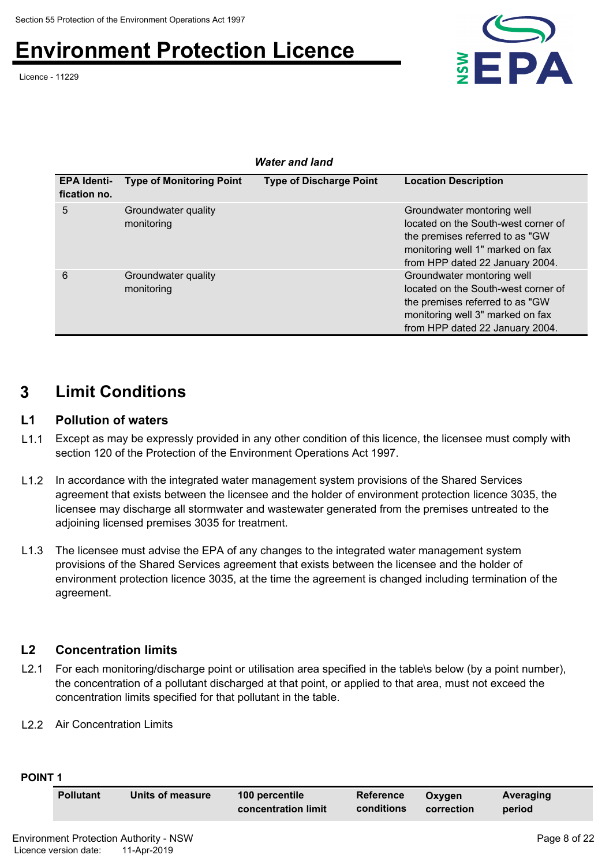Licence - 11229



|                                    | <b>Water and land</b>             |                                |                                                                                                                                                                             |  |  |
|------------------------------------|-----------------------------------|--------------------------------|-----------------------------------------------------------------------------------------------------------------------------------------------------------------------------|--|--|
| <b>EPA Identi-</b><br>fication no. | <b>Type of Monitoring Point</b>   | <b>Type of Discharge Point</b> | <b>Location Description</b>                                                                                                                                                 |  |  |
| 5                                  | Groundwater quality<br>monitoring |                                | Groundwater montoring well<br>located on the South-west corner of<br>the premises referred to as "GW<br>monitoring well 1" marked on fax<br>from HPP dated 22 January 2004. |  |  |
| 6                                  | Groundwater quality<br>monitoring |                                | Groundwater montoring well<br>located on the South-west corner of<br>the premises referred to as "GW<br>monitoring well 3" marked on fax<br>from HPP dated 22 January 2004. |  |  |

# **3 Limit Conditions**

## **L1 Pollution of waters**

- L1.1 Except as may be expressly provided in any other condition of this licence, the licensee must comply with section 120 of the Protection of the Environment Operations Act 1997.
- L1.2 In accordance with the integrated water management system provisions of the Shared Services agreement that exists between the licensee and the holder of environment protection licence 3035, the licensee may discharge all stormwater and wastewater generated from the premises untreated to the adjoining licensed premises 3035 for treatment.
- L1.3 The licensee must advise the EPA of any changes to the integrated water management system provisions of the Shared Services agreement that exists between the licensee and the holder of environment protection licence 3035, at the time the agreement is changed including termination of the agreement.

# **L2 Concentration limits**

- L2.1 For each monitoring/discharge point or utilisation area specified in the table\s below (by a point number), the concentration of a pollutant discharged at that point, or applied to that area, must not exceed the concentration limits specified for that pollutant in the table.
- L2.2 Air Concentration Limits

| н<br>× |  |
|--------|--|
|--------|--|

| <b>Pollutant</b> | Units of measure | 100 percentile<br>concentration limit | <b>Reference</b><br>conditions | Oxvaen<br>correction | Averaging<br>period |  |
|------------------|------------------|---------------------------------------|--------------------------------|----------------------|---------------------|--|
|                  |                  |                                       |                                |                      |                     |  |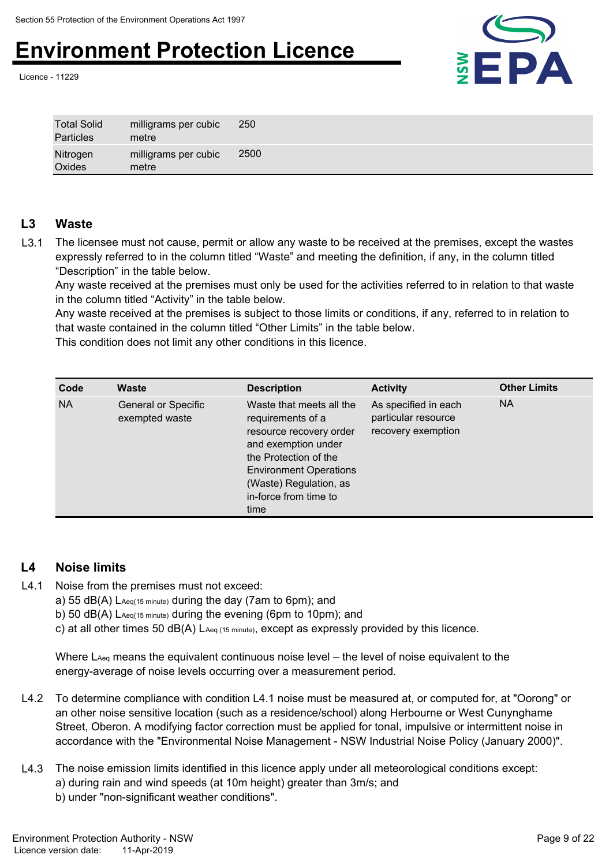Licence - 11229



| <b>Total Solid</b><br>Particles | milligrams per cubic<br>metre | 250  |
|---------------------------------|-------------------------------|------|
| Nitrogen<br>Oxides              | milligrams per cubic<br>metre | 2500 |

## **L3 Waste**

L3.1 The licensee must not cause, permit or allow any waste to be received at the premises, except the wastes expressly referred to in the column titled "Waste" and meeting the definition, if any, in the column titled "Description" in the table below.

Any waste received at the premises must only be used for the activities referred to in relation to that waste in the column titled "Activity" in the table below.

Any waste received at the premises is subject to those limits or conditions, if any, referred to in relation to that waste contained in the column titled "Other Limits" in the table below.

This condition does not limit any other conditions in this licence.

| Code      | Waste                                        | <b>Description</b>                                                                                                                                                                                                   | <b>Activity</b>                                                   | <b>Other Limits</b> |
|-----------|----------------------------------------------|----------------------------------------------------------------------------------------------------------------------------------------------------------------------------------------------------------------------|-------------------------------------------------------------------|---------------------|
| <b>NA</b> | <b>General or Specific</b><br>exempted waste | Waste that meets all the<br>requirements of a<br>resource recovery order<br>and exemption under<br>the Protection of the<br><b>Environment Operations</b><br>(Waste) Regulation, as<br>in-force from time to<br>time | As specified in each<br>particular resource<br>recovery exemption | <b>NA</b>           |

# **L4 Noise limits**

- L4.1 Noise from the premises must not exceed:
	- a) 55 dB(A) LAeq(15 minute) during the day (7am to 6pm); and
	- b) 50 dB(A) LAeq(15 minute) during the evening (6pm to 10pm); and
	- c) at all other times 50 dB(A) LAeq (15 minute), except as expressly provided by this licence.

Where  $\text{L}_\text{Aeq}$  means the equivalent continuous noise level – the level of noise equivalent to the energy-average of noise levels occurring over a measurement period.

- L4.2 To determine compliance with condition L4.1 noise must be measured at, or computed for, at "Oorong" or an other noise sensitive location (such as a residence/school) along Herbourne or West Cunynghame Street, Oberon. A modifying factor correction must be applied for tonal, impulsive or intermittent noise in accordance with the "Environmental Noise Management - NSW Industrial Noise Policy (January 2000)".
- L4.3 The noise emission limits identified in this licence apply under all meteorological conditions except: a) during rain and wind speeds (at 10m height) greater than 3m/s; and b) under "non-significant weather conditions".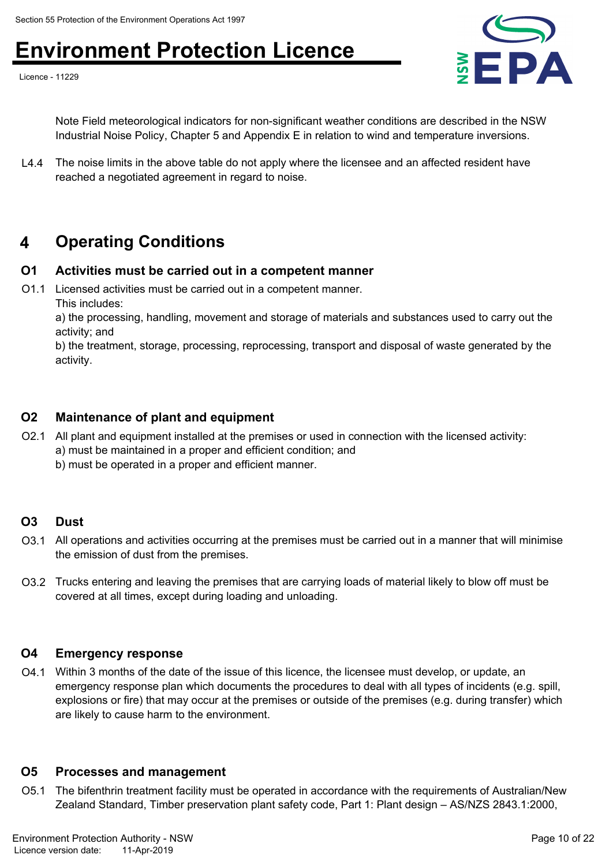Licence - 11229



Note Field meteorological indicators for non-significant weather conditions are described in the NSW Industrial Noise Policy, Chapter 5 and Appendix E in relation to wind and temperature inversions.

L4.4 The noise limits in the above table do not apply where the licensee and an affected resident have reached a negotiated agreement in regard to noise.

# **4 Operating Conditions**

## **O1 Activities must be carried out in a competent manner**

O1.1 Licensed activities must be carried out in a competent manner.

This includes:

a) the processing, handling, movement and storage of materials and substances used to carry out the activity; and

b) the treatment, storage, processing, reprocessing, transport and disposal of waste generated by the activity.

## **O2 Maintenance of plant and equipment**

- O2.1 All plant and equipment installed at the premises or used in connection with the licensed activity:
	- a) must be maintained in a proper and efficient condition; and
	- b) must be operated in a proper and efficient manner.

#### **O3 Dust**

- O3.1 All operations and activities occurring at the premises must be carried out in a manner that will minimise the emission of dust from the premises.
- O3.2 Trucks entering and leaving the premises that are carrying loads of material likely to blow off must be covered at all times, except during loading and unloading.

## **O4 Emergency response**

O4.1 Within 3 months of the date of the issue of this licence, the licensee must develop, or update, an emergency response plan which documents the procedures to deal with all types of incidents (e.g. spill, explosions or fire) that may occur at the premises or outside of the premises (e.g. during transfer) which are likely to cause harm to the environment.

### **O5 Processes and management**

O5.1 The bifenthrin treatment facility must be operated in accordance with the requirements of Australian/New Zealand Standard, Timber preservation plant safety code, Part 1: Plant design – AS/NZS 2843.1:2000,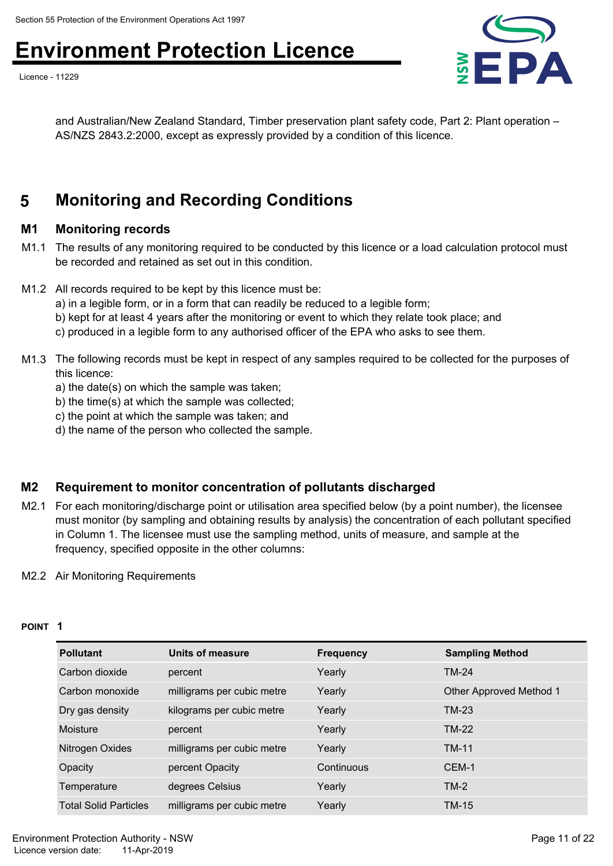Licence - 11229



and Australian/New Zealand Standard, Timber preservation plant safety code, Part 2: Plant operation – AS/NZS 2843.2:2000, except as expressly provided by a condition of this licence.

# **5 Monitoring and Recording Conditions**

## **M1 Monitoring records**

- M1.1 The results of any monitoring required to be conducted by this licence or a load calculation protocol must be recorded and retained as set out in this condition.
- M1.2 All records required to be kept by this licence must be:
	- a) in a legible form, or in a form that can readily be reduced to a legible form;
	- b) kept for at least 4 years after the monitoring or event to which they relate took place; and
	- c) produced in a legible form to any authorised officer of the EPA who asks to see them.
- M1.3 The following records must be kept in respect of any samples required to be collected for the purposes of this licence:
	- a) the date(s) on which the sample was taken;
	- b) the time(s) at which the sample was collected;
	- c) the point at which the sample was taken; and
	- d) the name of the person who collected the sample.

## **M2 Requirement to monitor concentration of pollutants discharged**

M2.1 For each monitoring/discharge point or utilisation area specified below (by a point number), the licensee must monitor (by sampling and obtaining results by analysis) the concentration of each pollutant specified in Column 1. The licensee must use the sampling method, units of measure, and sample at the frequency, specified opposite in the other columns:

#### M2.2 Air Monitoring Requirements

#### **POINT 1**

| <b>Pollutant</b>             | Units of measure           | <b>Frequency</b> | <b>Sampling Method</b>  |
|------------------------------|----------------------------|------------------|-------------------------|
| Carbon dioxide               | percent                    | Yearly           | <b>TM-24</b>            |
| Carbon monoxide              | milligrams per cubic metre | Yearly           | Other Approved Method 1 |
| Dry gas density              | kilograms per cubic metre  | Yearly           | <b>TM-23</b>            |
| Moisture                     | percent                    | Yearly           | TM-22                   |
| Nitrogen Oxides              | milligrams per cubic metre | Yearly           | <b>TM-11</b>            |
| Opacity                      | percent Opacity            | Continuous       | CEM-1                   |
| Temperature                  | degrees Celsius            | Yearly           | $TM-2$                  |
| <b>Total Solid Particles</b> | milligrams per cubic metre | Yearly           | <b>TM-15</b>            |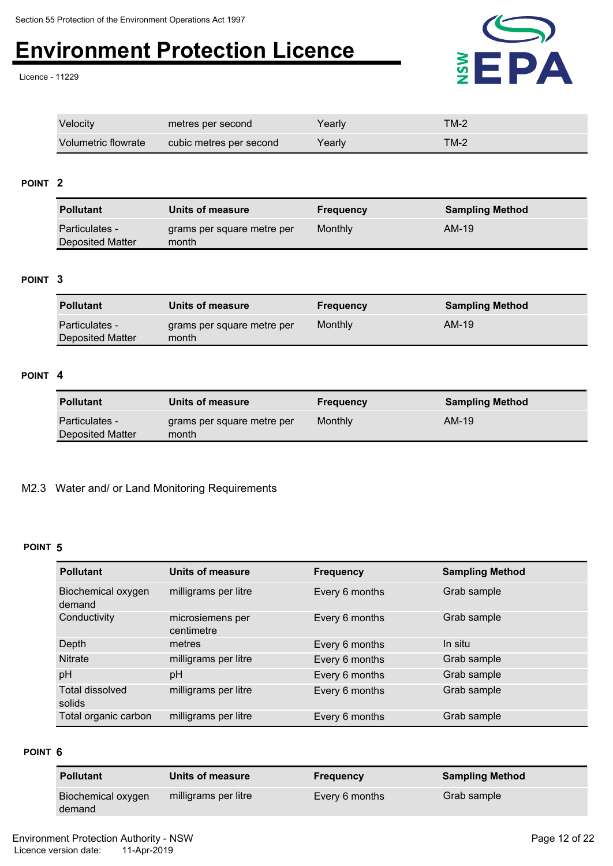Licence - 11229



| Velocity            | metres per second       | Yearly | TM-2   |
|---------------------|-------------------------|--------|--------|
| Volumetric flowrate | cubic metres per second | Yearly | $TM-2$ |

#### **POINT 2**

| <b>Pollutant</b>                   | Units of measure                    | <b>Frequency</b> | <b>Sampling Method</b> |
|------------------------------------|-------------------------------------|------------------|------------------------|
| Particulates -<br>Deposited Matter | grams per square metre per<br>month | Monthly          | AM-19                  |

#### **POINT 3**

| <b>Pollutant</b>                   | Units of measure                    | <b>Frequency</b> | <b>Sampling Method</b> |
|------------------------------------|-------------------------------------|------------------|------------------------|
| Particulates -<br>Deposited Matter | grams per square metre per<br>month | Monthly          | AM-19                  |

#### **POINT 4**

| <b>Pollutant</b>                          | Units of measure                    | <b>Frequency</b> | <b>Sampling Method</b> |
|-------------------------------------------|-------------------------------------|------------------|------------------------|
| <b>Particulates -</b><br>Deposited Matter | grams per square metre per<br>month | Monthly          | AM-19                  |

#### M2.3 Water and/ or Land Monitoring Requirements

#### **POINT 5**

| <b>Pollutant</b>                 | Units of measure               | <b>Frequency</b> | <b>Sampling Method</b> |
|----------------------------------|--------------------------------|------------------|------------------------|
| Biochemical oxygen<br>demand     | milligrams per litre           | Every 6 months   | Grab sample            |
| Conductivity                     | microsiemens per<br>centimetre | Every 6 months   | Grab sample            |
| Depth                            | metres                         | Every 6 months   | In situ                |
| <b>Nitrate</b>                   | milligrams per litre           | Every 6 months   | Grab sample            |
| pH                               | pH                             | Every 6 months   | Grab sample            |
| <b>Total dissolved</b><br>solids | milligrams per litre           | Every 6 months   | Grab sample            |
| Total organic carbon             | milligrams per litre           | Every 6 months   | Grab sample            |

#### **POINT 6**

| <b>Pollutant</b>   | Units of measure     | <b>Frequency</b> | <b>Sampling Method</b> |
|--------------------|----------------------|------------------|------------------------|
| Biochemical oxygen | milligrams per litre | Every 6 months   | Grab sample            |
| demand             |                      |                  |                        |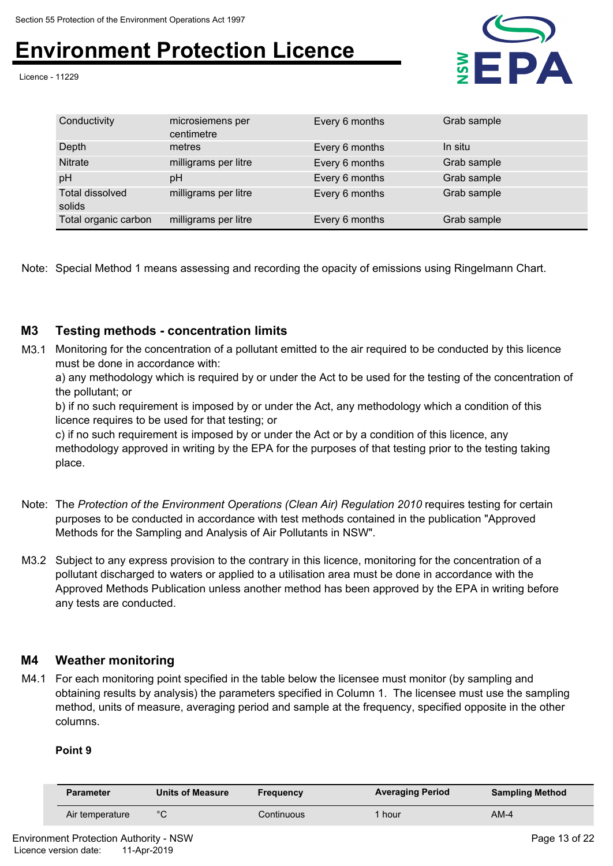Licence - 11229



| Conductivity                     | microsiemens per<br>centimetre | Every 6 months | Grab sample |
|----------------------------------|--------------------------------|----------------|-------------|
| Depth                            | metres                         | Every 6 months | In situ     |
| <b>Nitrate</b>                   | milligrams per litre           | Every 6 months | Grab sample |
| pH                               | рH                             | Every 6 months | Grab sample |
| <b>Total dissolved</b><br>solids | milligrams per litre           | Every 6 months | Grab sample |
| Total organic carbon             | milligrams per litre           | Every 6 months | Grab sample |

Note: Special Method 1 means assessing and recording the opacity of emissions using Ringelmann Chart.

## **M3 Testing methods - concentration limits**

M3.1 Monitoring for the concentration of a pollutant emitted to the air required to be conducted by this licence must be done in accordance with:

a) any methodology which is required by or under the Act to be used for the testing of the concentration of the pollutant; or

b) if no such requirement is imposed by or under the Act, any methodology which a condition of this licence requires to be used for that testing; or

c) if no such requirement is imposed by or under the Act or by a condition of this licence, any methodology approved in writing by the EPA for the purposes of that testing prior to the testing taking place.

- Note: The *Protection of the Environment Operations (Clean Air) Regulation 2010* requires testing for certain purposes to be conducted in accordance with test methods contained in the publication "Approved Methods for the Sampling and Analysis of Air Pollutants in NSW".
- M3.2 Subject to any express provision to the contrary in this licence, monitoring for the concentration of a pollutant discharged to waters or applied to a utilisation area must be done in accordance with the Approved Methods Publication unless another method has been approved by the EPA in writing before any tests are conducted.

## **M4 Weather monitoring**

M4.1 For each monitoring point specified in the table below the licensee must monitor (by sampling and obtaining results by analysis) the parameters specified in Column 1. The licensee must use the sampling method, units of measure, averaging period and sample at the frequency, specified opposite in the other columns.

#### **Point 9**

| <b>Parameter</b> | <b>Units of Measure</b> | <b>Frequency</b> | <b>Averaging Period</b> | <b>Sampling Method</b> |
|------------------|-------------------------|------------------|-------------------------|------------------------|
| Air temperature  | °∩                      | Continuous       | hour                    | $AM-4$                 |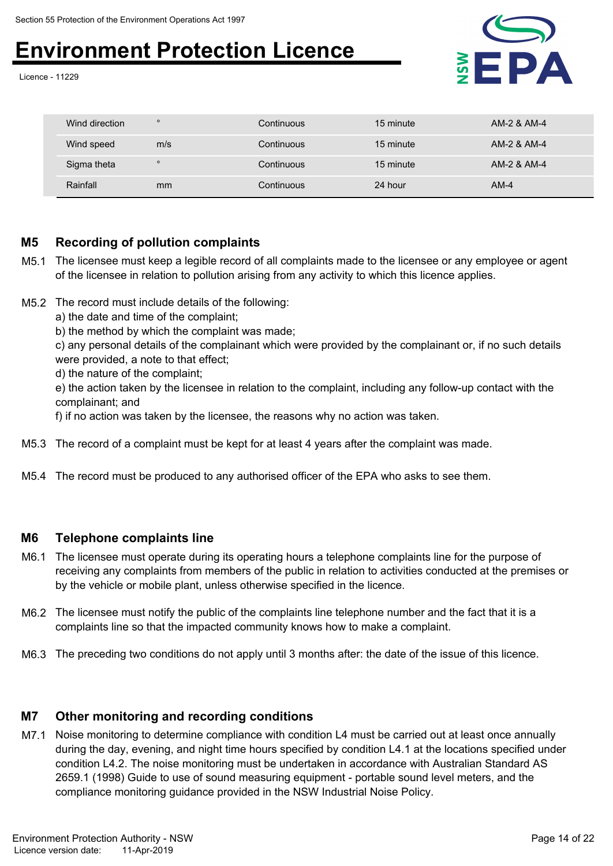Licence - 11229



| Wind direction | $\circ$ | Continuous | 15 minute | AM-2 & AM-4 |
|----------------|---------|------------|-----------|-------------|
| Wind speed     | m/s     | Continuous | 15 minute | AM-2 & AM-4 |
| Sigma theta    | $\circ$ | Continuous | 15 minute | AM-2 & AM-4 |
| Rainfall       | mm      | Continuous | 24 hour   | $AM-4$      |

## **M5 Recording of pollution complaints**

- M5.1 The licensee must keep a legible record of all complaints made to the licensee or any employee or agent of the licensee in relation to pollution arising from any activity to which this licence applies.
- M5.2 The record must include details of the following:
	- a) the date and time of the complaint;
	- b) the method by which the complaint was made;
	- c) any personal details of the complainant which were provided by the complainant or, if no such details were provided, a note to that effect;
	- d) the nature of the complaint;
	- e) the action taken by the licensee in relation to the complaint, including any follow-up contact with the complainant; and
	- f) if no action was taken by the licensee, the reasons why no action was taken.
- M5.3 The record of a complaint must be kept for at least 4 years after the complaint was made.
- M5.4 The record must be produced to any authorised officer of the EPA who asks to see them.

#### **M6 Telephone complaints line**

- M6.1 The licensee must operate during its operating hours a telephone complaints line for the purpose of receiving any complaints from members of the public in relation to activities conducted at the premises or by the vehicle or mobile plant, unless otherwise specified in the licence.
- M6.2 The licensee must notify the public of the complaints line telephone number and the fact that it is a complaints line so that the impacted community knows how to make a complaint.
- M6.3 The preceding two conditions do not apply until 3 months after: the date of the issue of this licence.

## **M7 Other monitoring and recording conditions**

M7.1 Noise monitoring to determine compliance with condition L4 must be carried out at least once annually during the day, evening, and night time hours specified by condition L4.1 at the locations specified under condition L4.2. The noise monitoring must be undertaken in accordance with Australian Standard AS 2659.1 (1998) Guide to use of sound measuring equipment - portable sound level meters, and the compliance monitoring guidance provided in the NSW Industrial Noise Policy.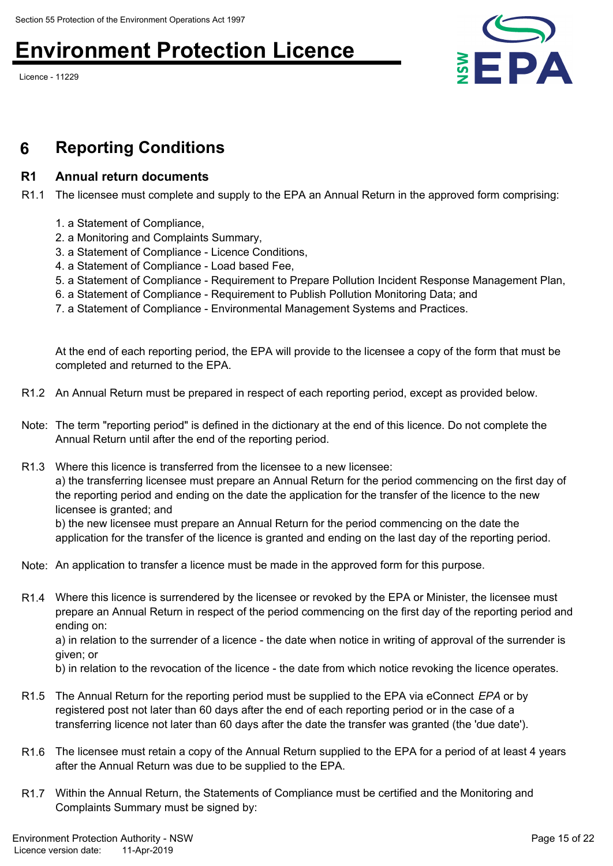Licence - 11229



# **6 Reporting Conditions**

## **R1 Annual return documents**

R1.1 The licensee must complete and supply to the EPA an Annual Return in the approved form comprising:

- 1. a Statement of Compliance,
- 2. a Monitoring and Complaints Summary,
- 3. a Statement of Compliance Licence Conditions,
- 4. a Statement of Compliance Load based Fee,
- 5. a Statement of Compliance Requirement to Prepare Pollution Incident Response Management Plan,
- 6. a Statement of Compliance Requirement to Publish Pollution Monitoring Data; and
- 7. a Statement of Compliance Environmental Management Systems and Practices.

At the end of each reporting period, the EPA will provide to the licensee a copy of the form that must be completed and returned to the EPA.

- R1.2 An Annual Return must be prepared in respect of each reporting period, except as provided below.
- Note: The term "reporting period" is defined in the dictionary at the end of this licence. Do not complete the Annual Return until after the end of the reporting period.
- R1.3 Where this licence is transferred from the licensee to a new licensee: a) the transferring licensee must prepare an Annual Return for the period commencing on the first day of the reporting period and ending on the date the application for the transfer of the licence to the new licensee is granted; and

b) the new licensee must prepare an Annual Return for the period commencing on the date the application for the transfer of the licence is granted and ending on the last day of the reporting period.

- Note: An application to transfer a licence must be made in the approved form for this purpose.
- R1.4 Where this licence is surrendered by the licensee or revoked by the EPA or Minister, the licensee must prepare an Annual Return in respect of the period commencing on the first day of the reporting period and ending on:

a) in relation to the surrender of a licence - the date when notice in writing of approval of the surrender is given; or

b) in relation to the revocation of the licence - the date from which notice revoking the licence operates.

- R1.5 The Annual Return for the reporting period must be supplied to the EPA via eConnect *EPA* or by registered post not later than 60 days after the end of each reporting period or in the case of a transferring licence not later than 60 days after the date the transfer was granted (the 'due date').
- R1.6 The licensee must retain a copy of the Annual Return supplied to the EPA for a period of at least 4 years after the Annual Return was due to be supplied to the EPA.
- R1.7 Within the Annual Return, the Statements of Compliance must be certified and the Monitoring and Complaints Summary must be signed by: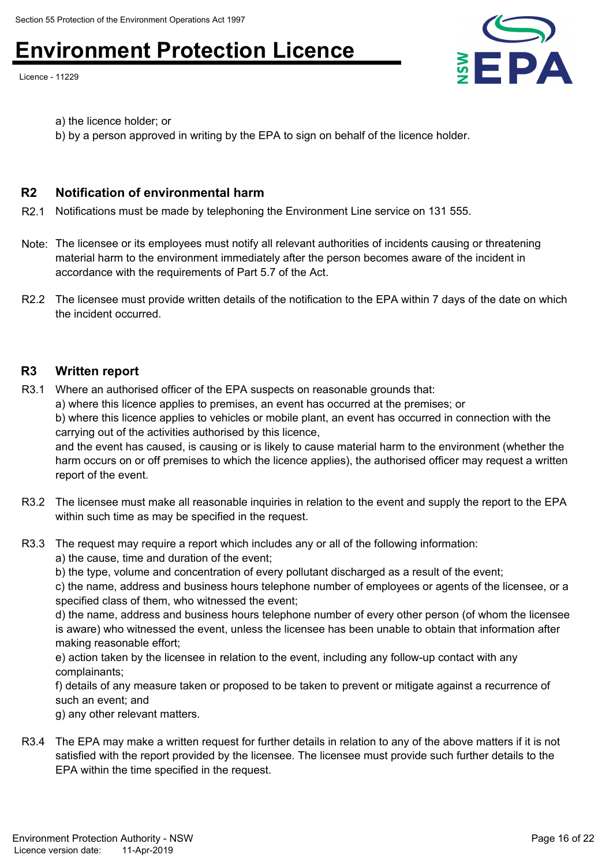Licence - 11229



a) the licence holder; or

b) by a person approved in writing by the EPA to sign on behalf of the licence holder.

## **R2 Notification of environmental harm**

R2.1 Notifications must be made by telephoning the Environment Line service on 131 555.

- Note: The licensee or its employees must notify all relevant authorities of incidents causing or threatening material harm to the environment immediately after the person becomes aware of the incident in accordance with the requirements of Part 5.7 of the Act.
- R2.2 The licensee must provide written details of the notification to the EPA within 7 days of the date on which the incident occurred.

### **R3 Written report**

R3.1 Where an authorised officer of the EPA suspects on reasonable grounds that: a) where this licence applies to premises, an event has occurred at the premises; or

b) where this licence applies to vehicles or mobile plant, an event has occurred in connection with the carrying out of the activities authorised by this licence,

and the event has caused, is causing or is likely to cause material harm to the environment (whether the harm occurs on or off premises to which the licence applies), the authorised officer may request a written report of the event.

- R3.2 The licensee must make all reasonable inquiries in relation to the event and supply the report to the EPA within such time as may be specified in the request.
- R3.3 The request may require a report which includes any or all of the following information:

a) the cause, time and duration of the event;

b) the type, volume and concentration of every pollutant discharged as a result of the event;

c) the name, address and business hours telephone number of employees or agents of the licensee, or a specified class of them, who witnessed the event;

d) the name, address and business hours telephone number of every other person (of whom the licensee is aware) who witnessed the event, unless the licensee has been unable to obtain that information after making reasonable effort;

e) action taken by the licensee in relation to the event, including any follow-up contact with any complainants;

f) details of any measure taken or proposed to be taken to prevent or mitigate against a recurrence of such an event; and

g) any other relevant matters.

R3.4 The EPA may make a written request for further details in relation to any of the above matters if it is not satisfied with the report provided by the licensee. The licensee must provide such further details to the EPA within the time specified in the request.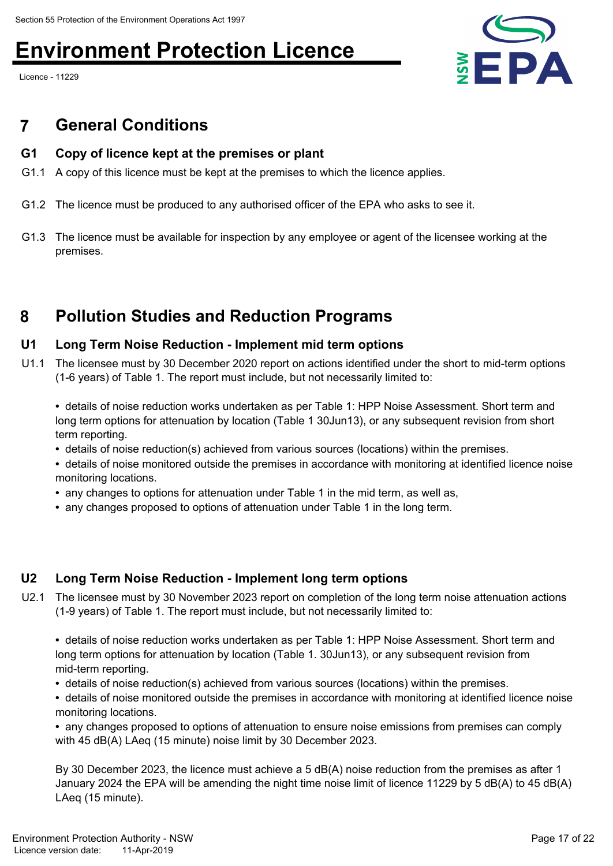Licence - 11229



# **7 General Conditions**

## **G1 Copy of licence kept at the premises or plant**

- G1.1 A copy of this licence must be kept at the premises to which the licence applies.
- G1.2 The licence must be produced to any authorised officer of the EPA who asks to see it.
- G1.3 The licence must be available for inspection by any employee or agent of the licensee working at the premises.

# **8 Pollution Studies and Reduction Programs**

## **U1 Long Term Noise Reduction - Implement mid term options**

U1.1 The licensee must by 30 December 2020 report on actions identified under the short to mid-term options (1-6 years) of Table 1. The report must include, but not necessarily limited to:

**•** details of noise reduction works undertaken as per Table 1: HPP Noise Assessment. Short term and long term options for attenuation by location (Table 1 30Jun13), or any subsequent revision from short term reporting.

- details of noise reduction(s) achieved from various sources (locations) within the premises.
- details of noise monitored outside the premises in accordance with monitoring at identified licence noise monitoring locations.
- any changes to options for attenuation under Table 1 in the mid term, as well as,
- any changes proposed to options of attenuation under Table 1 in the long term.

# **U2 Long Term Noise Reduction - Implement long term options**

U2.1 The licensee must by 30 November 2023 report on completion of the long term noise attenuation actions (1-9 years) of Table 1. The report must include, but not necessarily limited to:

**•** details of noise reduction works undertaken as per Table 1: HPP Noise Assessment. Short term and long term options for attenuation by location (Table 1. 30Jun13), or any subsequent revision from mid-term reporting.

- details of noise reduction(s) achieved from various sources (locations) within the premises.
- details of noise monitored outside the premises in accordance with monitoring at identified licence noise monitoring locations.

**•** any changes proposed to options of attenuation to ensure noise emissions from premises can comply with 45 dB(A) LAeq (15 minute) noise limit by 30 December 2023.

By 30 December 2023, the licence must achieve a 5 dB(A) noise reduction from the premises as after 1 January 2024 the EPA will be amending the night time noise limit of licence 11229 by 5 dB(A) to 45 dB(A) LAeq (15 minute).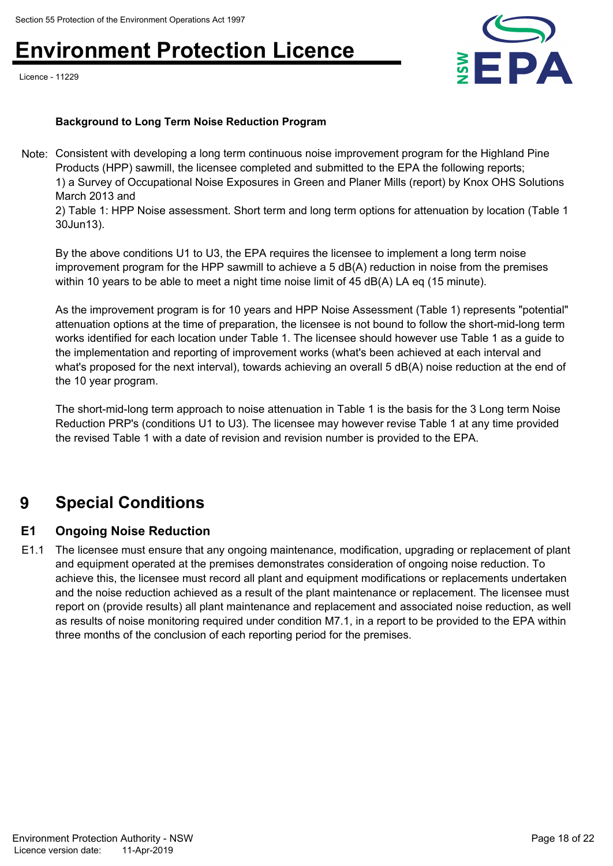Licence - 11229



### **Background to Long Term Noise Reduction Program**

Note: Consistent with developing a long term continuous noise improvement program for the Highland Pine Products (HPP) sawmill, the licensee completed and submitted to the EPA the following reports; 1) a Survey of Occupational Noise Exposures in Green and Planer Mills (report) by Knox OHS Solutions March 2013 and

2) Table 1: HPP Noise assessment. Short term and long term options for attenuation by location (Table 1 30Jun13).

By the above conditions U1 to U3, the EPA requires the licensee to implement a long term noise improvement program for the HPP sawmill to achieve a 5 dB(A) reduction in noise from the premises within 10 years to be able to meet a night time noise limit of 45 dB(A) LA eq (15 minute).

As the improvement program is for 10 years and HPP Noise Assessment (Table 1) represents "potential" attenuation options at the time of preparation, the licensee is not bound to follow the short-mid-long term works identified for each location under Table 1. The licensee should however use Table 1 as a guide to the implementation and reporting of improvement works (what's been achieved at each interval and what's proposed for the next interval), towards achieving an overall 5 dB(A) noise reduction at the end of the 10 year program.

The short-mid-long term approach to noise attenuation in Table 1 is the basis for the 3 Long term Noise Reduction PRP's (conditions U1 to U3). The licensee may however revise Table 1 at any time provided the revised Table 1 with a date of revision and revision number is provided to the EPA.

# **9 Special Conditions**

## **E1 Ongoing Noise Reduction**

E1.1 The licensee must ensure that any ongoing maintenance, modification, upgrading or replacement of plant and equipment operated at the premises demonstrates consideration of ongoing noise reduction. To achieve this, the licensee must record all plant and equipment modifications or replacements undertaken and the noise reduction achieved as a result of the plant maintenance or replacement. The licensee must report on (provide results) all plant maintenance and replacement and associated noise reduction, as well as results of noise monitoring required under condition M7.1, in a report to be provided to the EPA within three months of the conclusion of each reporting period for the premises.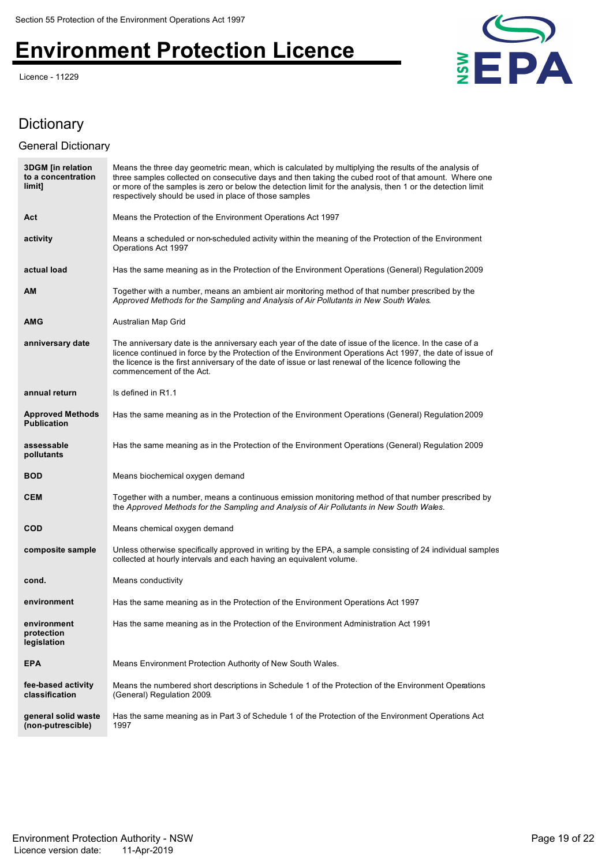Licence - 11229



# **Dictionary**

## General Dictionary

| <b>3DGM</b> [in relation<br>to a concentration<br>limit] | Means the three day geometric mean, which is calculated by multiplying the results of the analysis of<br>three samples collected on consecutive days and then taking the cubed root of that amount. Where one<br>or more of the samples is zero or below the detection limit for the analysis, then 1 or the detection limit<br>respectively should be used in place of those samples |
|----------------------------------------------------------|---------------------------------------------------------------------------------------------------------------------------------------------------------------------------------------------------------------------------------------------------------------------------------------------------------------------------------------------------------------------------------------|
| Act                                                      | Means the Protection of the Environment Operations Act 1997                                                                                                                                                                                                                                                                                                                           |
| activity                                                 | Means a scheduled or non-scheduled activity within the meaning of the Protection of the Environment<br>Operations Act 1997                                                                                                                                                                                                                                                            |
| actual load                                              | Has the same meaning as in the Protection of the Environment Operations (General) Regulation 2009                                                                                                                                                                                                                                                                                     |
| AM                                                       | Together with a number, means an ambient air monitoring method of that number prescribed by the<br>Approved Methods for the Sampling and Analysis of Air Pollutants in New South Wales.                                                                                                                                                                                               |
| <b>AMG</b>                                               | Australian Map Grid                                                                                                                                                                                                                                                                                                                                                                   |
| anniversary date                                         | The anniversary date is the anniversary each year of the date of issue of the licence. In the case of a<br>licence continued in force by the Protection of the Environment Operations Act 1997, the date of issue of<br>the licence is the first anniversary of the date of issue or last renewal of the licence following the<br>commencement of the Act.                            |
| annual return                                            | Is defined in R1.1                                                                                                                                                                                                                                                                                                                                                                    |
| <b>Approved Methods</b><br><b>Publication</b>            | Has the same meaning as in the Protection of the Environment Operations (General) Regulation 2009                                                                                                                                                                                                                                                                                     |
| assessable<br>pollutants                                 | Has the same meaning as in the Protection of the Environment Operations (General) Regulation 2009                                                                                                                                                                                                                                                                                     |
| <b>BOD</b>                                               | Means biochemical oxygen demand                                                                                                                                                                                                                                                                                                                                                       |
| <b>CEM</b>                                               | Together with a number, means a continuous emission monitoring method of that number prescribed by<br>the Approved Methods for the Sampling and Analysis of Air Pollutants in New South Wales.                                                                                                                                                                                        |
| <b>COD</b>                                               | Means chemical oxygen demand                                                                                                                                                                                                                                                                                                                                                          |
| composite sample                                         | Unless otherwise specifically approved in writing by the EPA, a sample consisting of 24 individual samples<br>collected at hourly intervals and each having an equivalent volume.                                                                                                                                                                                                     |
| cond.                                                    | Means conductivity                                                                                                                                                                                                                                                                                                                                                                    |
| environment                                              | Has the same meaning as in the Protection of the Environment Operations Act 1997                                                                                                                                                                                                                                                                                                      |
| environment<br>protection<br>legislation                 | Has the same meaning as in the Protection of the Environment Administration Act 1991                                                                                                                                                                                                                                                                                                  |
| <b>EPA</b>                                               | Means Environment Protection Authority of New South Wales.                                                                                                                                                                                                                                                                                                                            |
| fee-based activity<br>classification                     | Means the numbered short descriptions in Schedule 1 of the Protection of the Environment Operations<br>(General) Regulation 2009.                                                                                                                                                                                                                                                     |
| general solid waste<br>(non-putrescible)                 | Has the same meaning as in Part 3 of Schedule 1 of the Protection of the Environment Operations Act<br>1997                                                                                                                                                                                                                                                                           |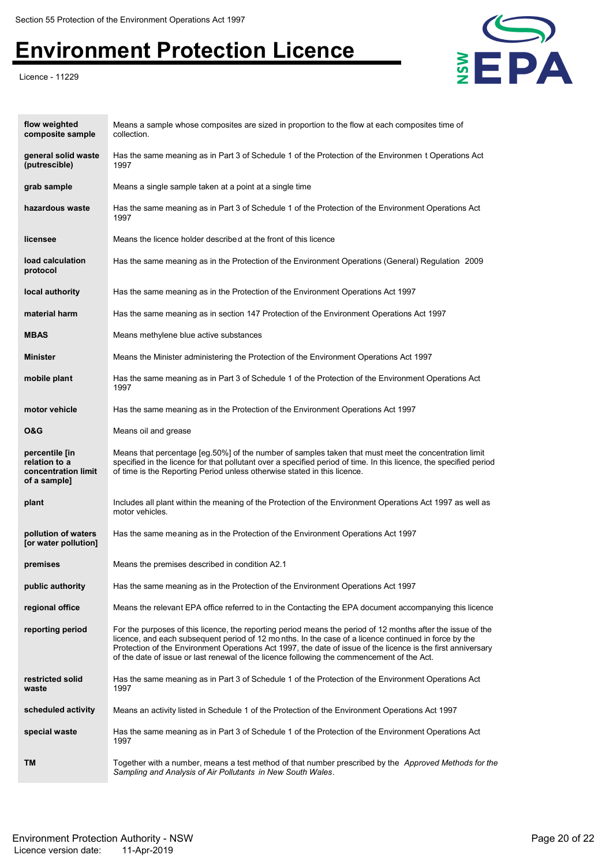Licence - 11229



| flow weighted<br>composite sample                                      | Means a sample whose composites are sized in proportion to the flow at each composites time of<br>collection.                                                                                                                                                                                                                                                                                                                     |
|------------------------------------------------------------------------|-----------------------------------------------------------------------------------------------------------------------------------------------------------------------------------------------------------------------------------------------------------------------------------------------------------------------------------------------------------------------------------------------------------------------------------|
| general solid waste<br>(putrescible)                                   | Has the same meaning as in Part 3 of Schedule 1 of the Protection of the Environmen t Operations Act<br>1997                                                                                                                                                                                                                                                                                                                      |
| grab sample                                                            | Means a single sample taken at a point at a single time                                                                                                                                                                                                                                                                                                                                                                           |
| hazardous waste                                                        | Has the same meaning as in Part 3 of Schedule 1 of the Protection of the Environment Operations Act<br>1997                                                                                                                                                                                                                                                                                                                       |
| licensee                                                               | Means the licence holder described at the front of this licence                                                                                                                                                                                                                                                                                                                                                                   |
| load calculation<br>protocol                                           | Has the same meaning as in the Protection of the Environment Operations (General) Regulation 2009                                                                                                                                                                                                                                                                                                                                 |
| local authority                                                        | Has the same meaning as in the Protection of the Environment Operations Act 1997                                                                                                                                                                                                                                                                                                                                                  |
| material harm                                                          | Has the same meaning as in section 147 Protection of the Environment Operations Act 1997                                                                                                                                                                                                                                                                                                                                          |
| <b>MBAS</b>                                                            | Means methylene blue active substances                                                                                                                                                                                                                                                                                                                                                                                            |
| <b>Minister</b>                                                        | Means the Minister administering the Protection of the Environment Operations Act 1997                                                                                                                                                                                                                                                                                                                                            |
| mobile plant                                                           | Has the same meaning as in Part 3 of Schedule 1 of the Protection of the Environment Operations Act<br>1997                                                                                                                                                                                                                                                                                                                       |
| motor vehicle                                                          | Has the same meaning as in the Protection of the Environment Operations Act 1997                                                                                                                                                                                                                                                                                                                                                  |
| 0&G                                                                    | Means oil and grease                                                                                                                                                                                                                                                                                                                                                                                                              |
| percentile [in<br>relation to a<br>concentration limit<br>of a sample] | Means that percentage [eg.50%] of the number of samples taken that must meet the concentration limit<br>specified in the licence for that pollutant over a specified period of time. In this licence, the specified period<br>of time is the Reporting Period unless otherwise stated in this licence.                                                                                                                            |
| plant                                                                  | Includes all plant within the meaning of the Protection of the Environment Operations Act 1997 as well as<br>motor vehicles.                                                                                                                                                                                                                                                                                                      |
| pollution of waters<br>[or water pollution]                            | Has the same meaning as in the Protection of the Environment Operations Act 1997                                                                                                                                                                                                                                                                                                                                                  |
| premises                                                               | Means the premises described in condition A2.1                                                                                                                                                                                                                                                                                                                                                                                    |
| public authority                                                       | Has the same meaning as in the Protection of the Environment Operations Act 1997                                                                                                                                                                                                                                                                                                                                                  |
| regional office                                                        | Means the relevant EPA office referred to in the Contacting the EPA document accompanying this licence                                                                                                                                                                                                                                                                                                                            |
| reporting period                                                       | For the purposes of this licence, the reporting period means the period of 12 months after the issue of the<br>licence, and each subsequent period of 12 months. In the case of a licence continued in force by the<br>Protection of the Environment Operations Act 1997, the date of issue of the licence is the first anniversary<br>of the date of issue or last renewal of the licence following the commencement of the Act. |
| restricted solid<br>waste                                              | Has the same meaning as in Part 3 of Schedule 1 of the Protection of the Environment Operations Act<br>1997                                                                                                                                                                                                                                                                                                                       |
| scheduled activity                                                     | Means an activity listed in Schedule 1 of the Protection of the Environment Operations Act 1997                                                                                                                                                                                                                                                                                                                                   |
| special waste                                                          | Has the same meaning as in Part 3 of Schedule 1 of the Protection of the Environment Operations Act<br>1997                                                                                                                                                                                                                                                                                                                       |
| TM                                                                     | Together with a number, means a test method of that number prescribed by the Approved Methods for the<br>Sampling and Analysis of Air Pollutants in New South Wales.                                                                                                                                                                                                                                                              |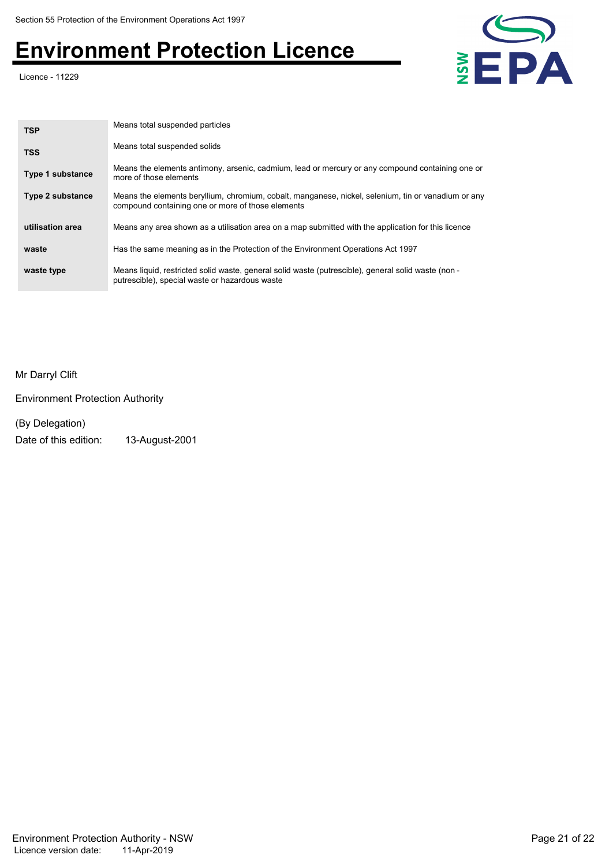Licence - 11229



| <b>TSP</b>              | Means total suspended particles                                                                                                                          |
|-------------------------|----------------------------------------------------------------------------------------------------------------------------------------------------------|
| <b>TSS</b>              | Means total suspended solids                                                                                                                             |
| Type 1 substance        | Means the elements antimony, arsenic, cadmium, lead or mercury or any compound containing one or<br>more of those elements                               |
| <b>Type 2 substance</b> | Means the elements beryllium, chromium, cobalt, manganese, nickel, selenium, tin or vanadium or any<br>compound containing one or more of those elements |
| utilisation area        | Means any area shown as a utilisation area on a map submitted with the application for this licence                                                      |
| waste                   | Has the same meaning as in the Protection of the Environment Operations Act 1997                                                                         |
| waste type              | Means liquid, restricted solid waste, general solid waste (putrescible), general solid waste (non -<br>putrescible), special waste or hazardous waste    |

Mr Darryl Clift

Environment Protection Authority

(By Delegation)

Date of this edition: 13-August-2001